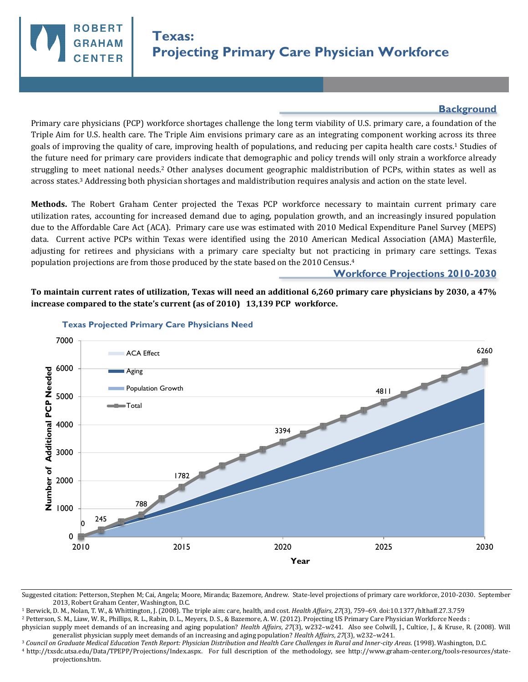## **Background**

Primary care physicians (PCP) workforce shortages challenge the long term viability of U.S. primary care, a foundation of the Triple Aim for U.S. health care. The Triple Aim envisions primary care as an integrating component working across its three goals of improving the quality of care, improving health of populations, and reducing per capita health care costs.1 Studies of the future need for primary care providers indicate that demographic and policy trends will only strain a workforce already struggling to meet national needs.2 Other analyses document geographic maldistribution of PCPs, within states as well as across states.3 Addressing both physician shortages and maldistribution requires analysis and action on the state level.

**Methods.** The Robert Graham Center projected the Texas PCP workforce necessary to maintain current primary care utilization rates, accounting for increased demand due to aging, population growth, and an increasingly insured population due to the Affordable Care Act (ACA). Primary care use was estimated with 2010 Medical Expenditure Panel Survey (MEPS) data. Current active PCPs within Texas were identified using the 2010 American Medical Association (AMA) Masterfile, adjusting for retirees and physicians with a primary care specialty but not practicing in primary care settings. Texas population projections are from those produced by the state based on the 2010 Census.<sup>4</sup>

## **Workforce Projections 2010-2030**

**To maintain current rates of utilization, Texas will need an additional 6,260 primary care physicians by 2030, a 47% increase compared to the state's current (as of 2010) 13,139 PCP workforce.** 



## **Texas Projected Primary Care Physicians Need**

**ROBER** 

**CENTER** 

<sup>1</sup> Berwick, D. M., Nolan, T. W., & Whittington, J. (2008). The triple aim: care, health, and cost. *Health Affairs*, *27*(3), 759–69. doi:10.1377/hlthaff.27.3.759

<sup>2</sup> Petterson, S. M., Liaw, W. R., Phillips, R. L., Rabin, D. L., Meyers, D. S., & Bazemore, A. W. (2012). Projecting US Primary Care Physician Workforce Needs :

<sup>3</sup> *Council on Graduate Medical Education Tenth Report: Physician Distribution and Health Care Challenges in Rural and Inner-city Areas*. (1998). Washington, D.C.

<sup>4</sup>http://txsdc.utsa.edu/Data/TPEPP/Projections/Index.aspx. For full description of the methodology, see http://www.graham-center.org/tools-resources/stateprojections.htm.

Suggested citation: Petterson, Stephen M; Cai, Angela; Moore, Miranda; Bazemore, Andrew. State-level projections of primary care workforce, 2010-2030. September 2013, Robert Graham Center, Washington, D.C.

physician supply meet demands of an increasing and aging population? *Health Affairs*, *27*(3), w232–w241. Also see Colwill, J., Cultice, J., & Kruse, R. (2008). Will generalist physician supply meet demands of an increasing and aging population? *Health Affairs*, *27*(3), w232–w241.